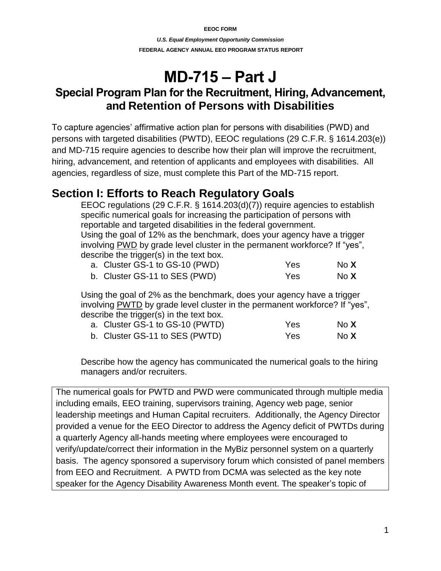**EEOC FORM** *U.S. Equal Employment Opportunity Commission*  **FEDERAL AGENCY ANNUAL EEO PROGRAM STATUS REPORT** 

# **MD-715 – Part J**

## **Special Program Plan for the Recruitment, Hiring, Advancement, and Retention of Persons with Disabilities**

To capture agencies' affirmative action plan for persons with disabilities (PWD) and persons with targeted disabilities (PWTD), EEOC regulations (29 C.F.R. § 1614.203(e)) and MD-715 require agencies to describe how their plan will improve the recruitment, hiring, advancement, and retention of applicants and employees with disabilities. All agencies, regardless of size, must complete this Part of the MD-715 report.

## **Section I: Efforts to Reach Regulatory Goals**

EEOC regulations (29 C.F.R. § 1614.203(d)(7)) require agencies to establish specific numerical goals for increasing the participation of persons with reportable and targeted disabilities in the federal government. Using the goal of 12% as the benchmark, does your agency have a trigger involving PWD by grade level cluster in the permanent workforce? If "yes", describe the trigger(s) in the text box.

| a. Cluster GS-1 to GS-10 (PWD) | Yes        | No <b>X</b> |
|--------------------------------|------------|-------------|
| b. Cluster GS-11 to SES (PWD)  | <b>Yes</b> | No <b>X</b> |

Using the goal of 2% as the benchmark, does your agency have a trigger involving PWTD by grade level cluster in the permanent workforce? If "yes", describe the trigger(s) in the text box.

| a. Cluster GS-1 to GS-10 (PWTD) | Yes.       | No <b>X</b> |
|---------------------------------|------------|-------------|
| b. Cluster GS-11 to SES (PWTD)  | <b>Yes</b> | No <b>X</b> |

Describe how the agency has communicated the numerical goals to the hiring managers and/or recruiters.

The numerical goals for PWTD and PWD were communicated through multiple media including emails, EEO training, supervisors training, Agency web page, senior leadership meetings and Human Capital recruiters. Additionally, the Agency Director provided a venue for the EEO Director to address the Agency deficit of PWTDs during a quarterly Agency all-hands meeting where employees were encouraged to verify/update/correct their information in the MyBiz personnel system on a quarterly basis. The agency sponsored a supervisory forum which consisted of panel members from EEO and Recruitment. A PWTD from DCMA was selected as the key note speaker for the Agency Disability Awareness Month event. The speaker's topic of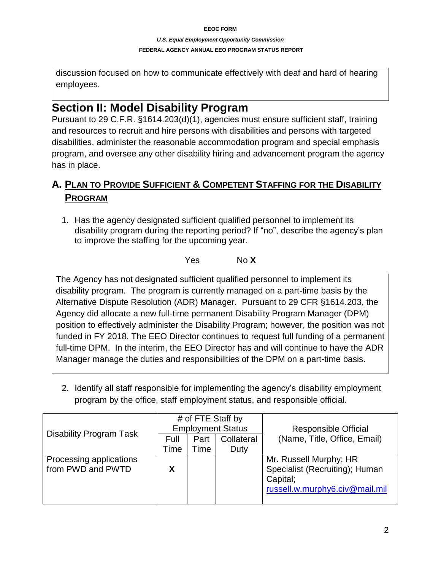## *U.S. Equal Employment Opportunity Commission*  **FEDERAL AGENCY ANNUAL EEO PROGRAM STATUS REPORT**

discussion focused on how to communicate effectively with deaf and hard of hearing employees.

## **Section II: Model Disability Program**

Pursuant to 29 C.F.R. §1614.203(d)(1), agencies must ensure sufficient staff, training and resources to recruit and hire persons with disabilities and persons with targeted disabilities, administer the reasonable accommodation program and special emphasis program, and oversee any other disability hiring and advancement program the agency has in place.

## **A. PLAN TO PROVIDE SUFFICIENT & COMPETENT STAFFING FOR THE DISABILITY PROGRAM**

1. Has the agency designated sufficient qualified personnel to implement its disability program during the reporting period? If "no", describe the agency's plan to improve the staffing for the upcoming year.

Yes No **X**

The Agency has not designated sufficient qualified personnel to implement its disability program. The program is currently managed on a part-time basis by the Alternative Dispute Resolution (ADR) Manager. Pursuant to 29 CFR §1614.203, the Agency did allocate a new full-time permanent Disability Program Manager (DPM) position to effectively administer the Disability Program; however, the position was not funded in FY 2018. The EEO Director continues to request full funding of a permanent full-time DPM. In the interim, the EEO Director has and will continue to have the ADR Manager manage the duties and responsibilities of the DPM on a part-time basis.

2. Identify all staff responsible for implementing the agency's disability employment program by the office, staff employment status, and responsible official.

|                                | # of FTE Staff by<br><b>Employment Status</b> |      |            | <b>Responsible Official</b>    |  |
|--------------------------------|-----------------------------------------------|------|------------|--------------------------------|--|
| <b>Disability Program Task</b> | Full<br>Part                                  |      | Collateral | (Name, Title, Office, Email)   |  |
|                                | Time                                          | Time | Duty       |                                |  |
| Processing applications        |                                               |      |            | Mr. Russell Murphy; HR         |  |
| from PWD and PWTD              | X                                             |      |            | Specialist (Recruiting); Human |  |
|                                |                                               |      |            | Capital;                       |  |
|                                |                                               |      |            | russell.w.murphy6.civ@mail.mil |  |
|                                |                                               |      |            |                                |  |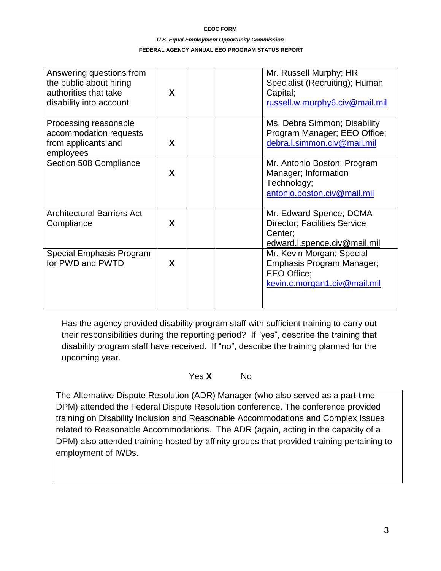## *U.S. Equal Employment Opportunity Commission*

## **FEDERAL AGENCY ANNUAL EEO PROGRAM STATUS REPORT**

| Answering questions from<br>the public about hiring<br>authorities that take<br>disability into account | X | Mr. Russell Murphy; HR<br>Specialist (Recruiting); Human<br>Capital;<br>russell.w.murphy6.civ@mail.mil    |
|---------------------------------------------------------------------------------------------------------|---|-----------------------------------------------------------------------------------------------------------|
| Processing reasonable<br>accommodation requests<br>from applicants and<br>employees                     | X | Ms. Debra Simmon; Disability<br>Program Manager; EEO Office;<br>debra.l.simmon.civ@mail.mil               |
| Section 508 Compliance                                                                                  | X | Mr. Antonio Boston; Program<br>Manager; Information<br>Technology;<br>antonio.boston.civ@mail.mil         |
| <b>Architectural Barriers Act</b><br>Compliance                                                         | X | Mr. Edward Spence; DCMA<br><b>Director; Facilities Service</b><br>Center;<br>edward.l.spence.civ@mail.mil |
| Special Emphasis Program<br>for PWD and PWTD                                                            | X | Mr. Kevin Morgan; Special<br>Emphasis Program Manager;<br>EEO Office;<br>kevin.c.morgan1.civ@mail.mil     |

Has the agency provided disability program staff with sufficient training to carry out their responsibilities during the reporting period? If "yes", describe the training that disability program staff have received.If "no", describe the training planned for the upcoming year.

## Yes **X** No

The Alternative Dispute Resolution (ADR) Manager (who also served as a part-time DPM) attended the Federal Dispute Resolution conference. The conference provided training on Disability Inclusion and Reasonable Accommodations and Complex Issues related to Reasonable Accommodations. The ADR (again, acting in the capacity of a DPM) also attended training hosted by affinity groups that provided training pertaining to employment of IWDs.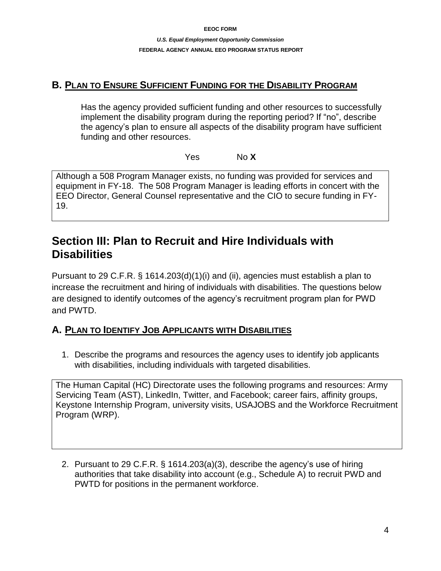## **B. PLAN TO ENSURE SUFFICIENT FUNDING FOR THE DISABILITY PROGRAM**

Has the agency provided sufficient funding and other resources to successfully implement the disability program during the reporting period? If "no", describe the agency's plan to ensure all aspects of the disability program have sufficient funding and other resources.

Yes No **X**

Although a 508 Program Manager exists, no funding was provided for services and equipment in FY-18. The 508 Program Manager is leading efforts in concert with the EEO Director, General Counsel representative and the CIO to secure funding in FY-19.

## **Section III: Plan to Recruit and Hire Individuals with Disabilities**

Pursuant to 29 C.F.R. § 1614.203(d)(1)(i) and (ii), agencies must establish a plan to increase the recruitment and hiring of individuals with disabilities. The questions below are designed to identify outcomes of the agency's recruitment program plan for PWD and PWTD.

## **A. PLAN TO IDENTIFY JOB APPLICANTS WITH DISABILITIES**

1. Describe the programs and resources the agency uses to identify job applicants with disabilities, including individuals with targeted disabilities.

The Human Capital (HC) Directorate uses the following programs and resources: Army Servicing Team (AST), LinkedIn, Twitter, and Facebook; career fairs, affinity groups, Keystone Internship Program, university visits, USAJOBS and the Workforce Recruitment Program (WRP).

2. Pursuant to 29 C.F.R. § 1614.203(a)(3), describe the agency's use of hiring authorities that take disability into account (e.g., Schedule A) to recruit PWD and PWTD for positions in the permanent workforce.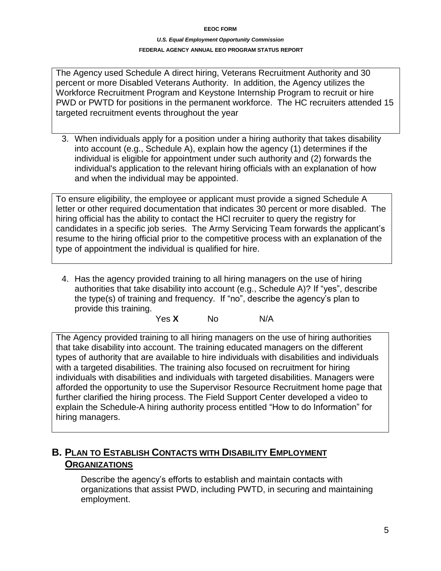## *U.S. Equal Employment Opportunity Commission*  **FEDERAL AGENCY ANNUAL EEO PROGRAM STATUS REPORT**

The Agency used Schedule A direct hiring, Veterans Recruitment Authority and 30 percent or more Disabled Veterans Authority. In addition, the Agency utilizes the Workforce Recruitment Program and Keystone Internship Program to recruit or hire PWD or PWTD for positions in the permanent workforce. The HC recruiters attended 15 targeted recruitment events throughout the year

3. When individuals apply for a position under a hiring authority that takes disability into account (e.g., Schedule A), explain how the agency (1) determines if the individual is eligible for appointment under such authority and (2) forwards the individual's application to the relevant hiring officials with an explanation of how and when the individual may be appointed.

To ensure eligibility, the employee or applicant must provide a signed Schedule A letter or other required documentation that indicates 30 percent or more disabled. The hiring official has the ability to contact the HCl recruiter to query the registry for candidates in a specific job series. The Army Servicing Team forwards the applicant's resume to the hiring official prior to the competitive process with an explanation of the type of appointment the individual is qualified for hire.

4. Has the agency provided training to all hiring managers on the use of hiring authorities that take disability into account (e.g., Schedule A)? If "yes", describe the type(s) of training and frequency. If "no", describe the agency's plan to provide this training.

Yes **X** No N/A

The Agency provided training to all hiring managers on the use of hiring authorities that take disability into account. The training educated managers on the different types of authority that are available to hire individuals with disabilities and individuals with a targeted disabilities. The training also focused on recruitment for hiring individuals with disabilities and individuals with targeted disabilities. Managers were afforded the opportunity to use the Supervisor Resource Recruitment home page that further clarified the hiring process. The Field Support Center developed a video to explain the Schedule-A hiring authority process entitled "How to do Information" for hiring managers.

## **B. PLAN TO ESTABLISH CONTACTS WITH DISABILITY EMPLOYMENT ORGANIZATIONS**

Describe the agency's efforts to establish and maintain contacts with organizations that assist PWD, including PWTD, in securing and maintaining employment.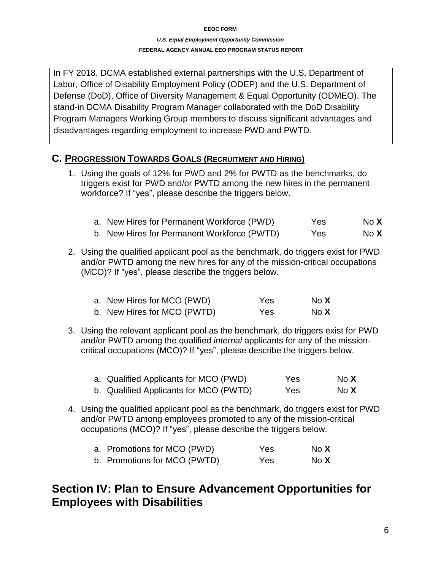## *U.S. Equal Employment Opportunity Commission*  **FEDERAL AGENCY ANNUAL EEO PROGRAM STATUS REPORT**

In FY 2018, DCMA established external partnerships with the U.S. Department of Labor, Office of Disability Employment Policy (ODEP) and the U.S. Department of Defense (DoD), Office of Diversity Management & Equal Opportunity (ODMEO). The stand-in DCMA Disability Program Manager collaborated with the DoD Disability Program Managers Working Group members to discuss significant advantages and disadvantages regarding employment to increase PWD and PWTD.

## **C. PROGRESSION TOWARDS GOALS (RECRUITMENT AND HIRING)**

1. Using the goals of 12% for PWD and 2% for PWTD as the benchmarks, do triggers exist for PWD and/or PWTD among the new hires in the permanent workforce? If "yes", please describe the triggers below.

| a. New Hires for Permanent Workforce (PWD)  | Yes. | No X |
|---------------------------------------------|------|------|
| b. New Hires for Permanent Workforce (PWTD) | Yes. | No X |

2. Using the qualified applicant pool as the benchmark, do triggers exist for PWD and/or PWTD among the new hires for any of the mission-critical occupations (MCO)? If "yes", please describe the triggers below.

| a. New Hires for MCO (PWD)  | <b>Yes</b> | No X |
|-----------------------------|------------|------|
| b. New Hires for MCO (PWTD) | Yes        | No X |

3. Using the relevant applicant pool as the benchmark, do triggers exist for PWD and/or PWTD among the qualified *internal* applicants for any of the missioncritical occupations (MCO)? If "yes", please describe the triggers below.

| a. Qualified Applicants for MCO (PWD)  | Yes | No <b>X</b> |
|----------------------------------------|-----|-------------|
| b. Qualified Applicants for MCO (PWTD) | Yes | No <b>X</b> |

4. Using the qualified applicant pool as the benchmark, do triggers exist for PWD and/or PWTD among employees promoted to any of the mission-critical occupations (MCO)? If "yes", please describe the triggers below.

| a. Promotions for MCO (PWD)  | Yes | No <b>X</b> |
|------------------------------|-----|-------------|
| b. Promotions for MCO (PWTD) | Yes | No <b>X</b> |

## **Section IV: Plan to Ensure Advancement Opportunities for Employees with Disabilities**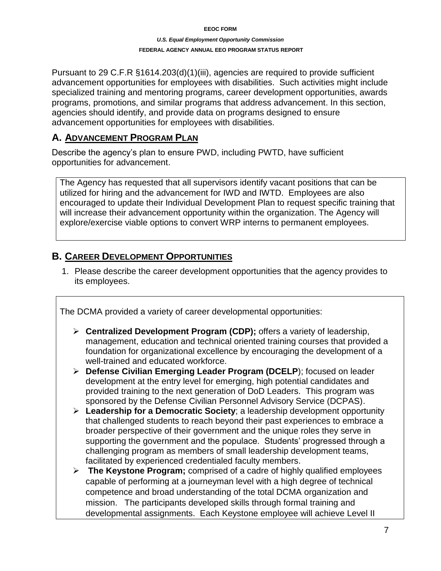## *U.S. Equal Employment Opportunity Commission*  **FEDERAL AGENCY ANNUAL EEO PROGRAM STATUS REPORT**

Pursuant to 29 C.F.R §1614.203(d)(1)(iii), agencies are required to provide sufficient advancement opportunities for employees with disabilities. Such activities might include specialized training and mentoring programs, career development opportunities, awards programs, promotions, and similar programs that address advancement. In this section, agencies should identify, and provide data on programs designed to ensure advancement opportunities for employees with disabilities.

## **A. ADVANCEMENT PROGRAM PLAN**

Describe the agency's plan to ensure PWD, including PWTD, have sufficient opportunities for advancement.

The Agency has requested that all supervisors identify vacant positions that can be utilized for hiring and the advancement for IWD and IWTD. Employees are also encouraged to update their Individual Development Plan to request specific training that will increase their advancement opportunity within the organization. The Agency will explore/exercise viable options to convert WRP interns to permanent employees.

## **B. CAREER DEVELOPMENT OPPORTUNITIES**

1. Please describe the career development opportunities that the agency provides to its employees.

The DCMA provided a variety of career developmental opportunities:

- **Centralized Development Program (CDP);** offers a variety of leadership, management, education and technical oriented training courses that provided a foundation for organizational excellence by encouraging the development of a well-trained and educated workforce.
- **Defense Civilian Emerging Leader Program (DCELP**); focused on leader development at the entry level for emerging, high potential candidates and provided training to the next generation of DoD Leaders. This program was sponsored by the Defense Civilian Personnel Advisory Service (DCPAS).
- **Leadership for a Democratic Society**; a leadership development opportunity that challenged students to reach beyond their past experiences to embrace a broader perspective of their government and the unique roles they serve in supporting the government and the populace. Students' progressed through a challenging program as members of small leadership development teams, facilitated by experienced credentialed faculty members.
- **The Keystone Program;** comprised of a cadre of highly qualified employees capable of performing at a journeyman level with a high degree of technical competence and broad understanding of the total DCMA organization and mission. The participants developed skills through formal training and developmental assignments. Each Keystone employee will achieve Level II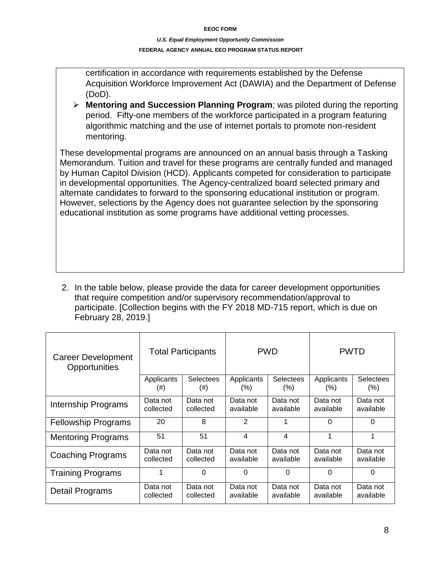## *U.S. Equal Employment Opportunity Commission*  **FEDERAL AGENCY ANNUAL EEO PROGRAM STATUS REPORT**

certification in accordance with requirements established by the Defense Acquisition Workforce Improvement Act (DAWIA) and the Department of Defense (DoD).

 **Mentoring and Succession Planning Program**; was piloted during the reporting period. Fifty-one members of the workforce participated in a program featuring algorithmic matching and the use of internet portals to promote non-resident mentoring.

These developmental programs are announced on an annual basis through a Tasking Memorandum. Tuition and travel for these programs are centrally funded and managed by Human Capitol Division (HCD). Applicants competed for consideration to participate in developmental opportunities. The Agency-centralized board selected primary and alternate candidates to forward to the sponsoring educational institution or program. However, selections by the Agency does not guarantee selection by the sponsoring educational institution as some programs have additional vetting processes.

2. In the table below, please provide the data for career development opportunities that require competition and/or supervisory recommendation/approval to participate. [Collection begins with the FY 2018 MD-715 report, which is due on February 28, 2019.]

| <b>Career Development</b><br>Opportunities |            | <b>Total Participants</b> | <b>PWD</b>     |           | <b>PWTD</b> |                  |
|--------------------------------------------|------------|---------------------------|----------------|-----------|-------------|------------------|
|                                            | Applicants | Selectees                 | Applicants     | Selectees | Applicants  | <b>Selectees</b> |
|                                            | (#)        | (#)                       | $(\%)$         | $(\% )$   | $(\% )$     | $(\% )$          |
| Internship Programs                        | Data not   | Data not                  | Data not       | Data not  | Data not    | Data not         |
|                                            | collected  | collected                 | available      | available | available   | available        |
| <b>Fellowship Programs</b>                 | 20         | 8                         | 2              |           | 0           | $\Omega$         |
| <b>Mentoring Programs</b>                  | 51         | 51                        | $\overline{4}$ | 4         | 1           | 1                |
| <b>Coaching Programs</b>                   | Data not   | Data not                  | Data not       | Data not  | Data not    | Data not         |
|                                            | collected  | collected                 | available      | available | available   | available        |
| <b>Training Programs</b>                   |            | 0                         | $\Omega$       | $\Omega$  | 0           | $\Omega$         |
| Detail Programs                            | Data not   | Data not                  | Data not       | Data not  | Data not    | Data not         |
|                                            | collected  | collected                 | available      | available | available   | available        |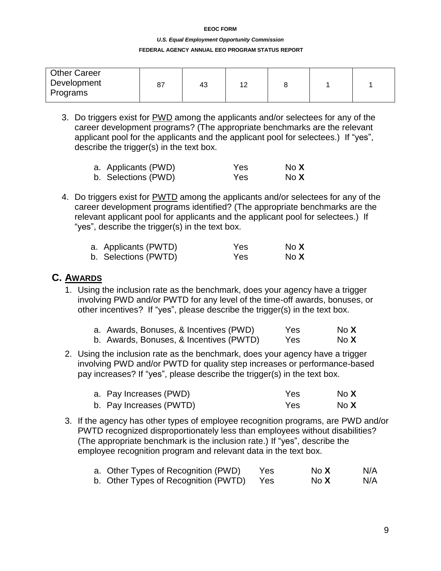#### *U.S. Equal Employment Opportunity Commission*

### **FEDERAL AGENCY ANNUAL EEO PROGRAM STATUS REPORT**

| <b>Other Career</b>     |    |    |            |  |  |
|-------------------------|----|----|------------|--|--|
| Development<br>Programs | 87 | 43 | 1 ຕ<br>' 4 |  |  |
|                         |    |    |            |  |  |

3. Do triggers exist for PWD among the applicants and/or selectees for any of the career development programs? (The appropriate benchmarks are the relevant applicant pool for the applicants and the applicant pool for selectees.) If "yes", describe the trigger(s) in the text box.

| a. Applicants (PWD) | Yes | No <b>X</b> |
|---------------------|-----|-------------|
| b. Selections (PWD) | Yes | No <b>X</b> |

4. Do triggers exist for PWTD among the applicants and/or selectees for any of the career development programs identified? (The appropriate benchmarks are the relevant applicant pool for applicants and the applicant pool for selectees.) If "yes", describe the trigger(s) in the text box.

| a. Applicants (PWTD) | Yes | No <b>X</b> |
|----------------------|-----|-------------|
| b. Selections (PWTD) | Yes | No <b>X</b> |

## **C. AWARDS**

1. Using the inclusion rate as the benchmark, does your agency have a trigger involving PWD and/or PWTD for any level of the time-off awards, bonuses, or other incentives? If "yes", please describe the trigger(s) in the text box.

|  | a. Awards, Bonuses, & Incentives (PWD)  | Yes | No <b>X</b> |
|--|-----------------------------------------|-----|-------------|
|  | b. Awards, Bonuses, & Incentives (PWTD) | Yes | No <b>X</b> |

2. Using the inclusion rate as the benchmark, does your agency have a trigger involving PWD and/or PWTD for quality step increases or performance-based pay increases? If "yes", please describe the trigger(s) in the text box.

| a. Pay Increases (PWD)  | Yes | No X        |
|-------------------------|-----|-------------|
| b. Pay Increases (PWTD) | Yes | No <b>X</b> |

3. If the agency has other types of employee recognition programs, are PWD and/or PWTD recognized disproportionately less than employees without disabilities? (The appropriate benchmark is the inclusion rate.) If "yes", describe the employee recognition program and relevant data in the text box.

| a. Other Types of Recognition (PWD)  | <b>Yes</b> | No <b>X</b> | N/A |
|--------------------------------------|------------|-------------|-----|
| b. Other Types of Recognition (PWTD) | Yes        | No <b>X</b> | N/A |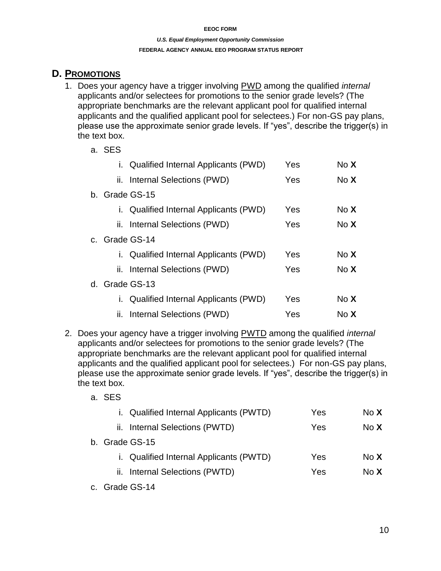## *U.S. Equal Employment Opportunity Commission*  **FEDERAL AGENCY ANNUAL EEO PROGRAM STATUS REPORT**

## **D. PROMOTIONS**

- 1. Does your agency have a trigger involving PWD among the qualified *internal*  applicants and/or selectees for promotions to the senior grade levels? (The appropriate benchmarks are the relevant applicant pool for qualified internal applicants and the qualified applicant pool for selectees.) For non-GS pay plans, please use the approximate senior grade levels. If "yes", describe the trigger(s) in the text box.
	- a. SES

| i. Qualified Internal Applicants (PWD) | Yes | No X        |
|----------------------------------------|-----|-------------|
| ii. Internal Selections (PWD)          | Yes | No X        |
| b. Grade GS-15                         |     |             |
| i. Qualified Internal Applicants (PWD) | Yes | No X        |
| ii. Internal Selections (PWD)          | Yes | No X        |
| c. Grade GS-14                         |     |             |
| i. Qualified Internal Applicants (PWD) | Yes | No X        |
| ii. Internal Selections (PWD)          | Yes | No <b>X</b> |
| d. Grade GS-13                         |     |             |
| i. Qualified Internal Applicants (PWD) | Yes | No X        |
| ii. Internal Selections (PWD)          | Yes | No X        |

- 2. Does your agency have a trigger involving PWTD among the qualified *internal* applicants and/or selectees for promotions to the senior grade levels? (The appropriate benchmarks are the relevant applicant pool for qualified internal applicants and the qualified applicant pool for selectees.) For non-GS pay plans, please use the approximate senior grade levels. If "yes", describe the trigger(s) in the text box.
	- a. SES

|  | i. Qualified Internal Applicants (PWTD) | Yes | No X        |
|--|-----------------------------------------|-----|-------------|
|  | ii. Internal Selections (PWTD)          | Yes | No <b>X</b> |
|  | b. Grade GS-15                          |     |             |
|  | i. Qualified Internal Applicants (PWTD) | Yes | No <b>X</b> |
|  | ii. Internal Selections (PWTD)          | Yes | No <b>X</b> |
|  | c. Grade GS-14                          |     |             |

10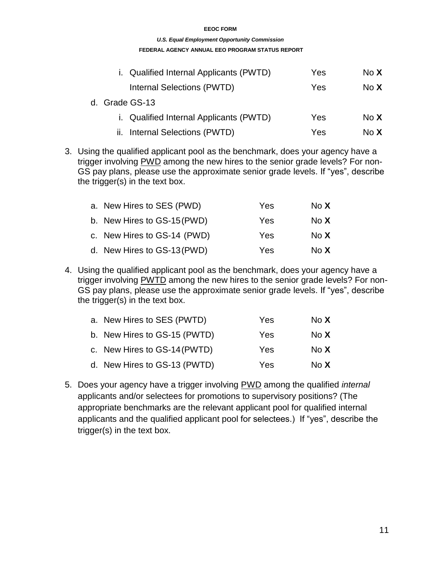### *U.S. Equal Employment Opportunity Commission*

## **FEDERAL AGENCY ANNUAL EEO PROGRAM STATUS REPORT**

|                | i. Qualified Internal Applicants (PWTD) | Yes | No X |
|----------------|-----------------------------------------|-----|------|
|                | Internal Selections (PWTD)              | Yes | No X |
| d. Grade GS-13 |                                         |     |      |
|                | i. Qualified Internal Applicants (PWTD) | Yes | No X |
|                | ii. Internal Selections (PWTD)          | Yes | No X |

3. Using the qualified applicant pool as the benchmark, does your agency have a trigger involving PWD among the new hires to the senior grade levels? For non-GS pay plans, please use the approximate senior grade levels. If "yes", describe the trigger(s) in the text box.

| a. New Hires to SES (PWD)   | Yes | No X        |
|-----------------------------|-----|-------------|
| b. New Hires to GS-15 (PWD) | Yes | No <b>X</b> |
| c. New Hires to GS-14 (PWD) | Yes | No X        |
| d. New Hires to GS-13 (PWD) | Yes | No X        |

4. Using the qualified applicant pool as the benchmark, does your agency have a trigger involving PWTD among the new hires to the senior grade levels? For non-GS pay plans, please use the approximate senior grade levels. If "yes", describe the trigger(s) in the text box.

| a. New Hires to SES (PWTD)   | Yes | No <b>X</b> |
|------------------------------|-----|-------------|
| b. New Hires to GS-15 (PWTD) | Yes | No <b>X</b> |
| c. New Hires to GS-14 (PWTD) | Yes | No <b>X</b> |
| d. New Hires to GS-13 (PWTD) | Yes | No X        |

5. Does your agency have a trigger involving PWD among the qualified *internal*  applicants and/or selectees for promotions to supervisory positions? (The appropriate benchmarks are the relevant applicant pool for qualified internal applicants and the qualified applicant pool for selectees.) If "yes", describe the trigger(s) in the text box.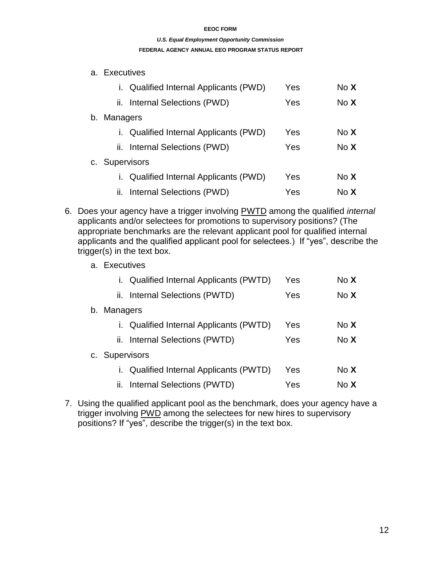### *U.S. Equal Employment Opportunity Commission*

### **FEDERAL AGENCY ANNUAL EEO PROGRAM STATUS REPORT**

| a. | Executives      |                                            |     |             |
|----|-----------------|--------------------------------------------|-----|-------------|
|    | L.              | <b>Qualified Internal Applicants (PWD)</b> | Yes | No <b>X</b> |
|    |                 | ii. Internal Selections (PWD)              | Yes | No <b>X</b> |
| b. | <b>Managers</b> |                                            |     |             |
|    | Ι.              | Qualified Internal Applicants (PWD)        | Yes | No <b>X</b> |
|    |                 | ii. Internal Selections (PWD)              | Yes | No <b>X</b> |
|    | c. Supervisors  |                                            |     |             |
|    |                 | <b>Qualified Internal Applicants (PWD)</b> | Yes | No X        |
|    |                 | ii. Internal Selections (PWD)              | Yes | No <b>X</b> |

- 6. Does your agency have a trigger involving PWTD among the qualified *internal*  applicants and/or selectees for promotions to supervisory positions? (The appropriate benchmarks are the relevant applicant pool for qualified internal applicants and the qualified applicant pool for selectees.) If "yes", describe the trigger(s) in the text box.
	- a. Executives

|                       | i. Qualified Internal Applicants (PWTD) | Yes | No X        |
|-----------------------|-----------------------------------------|-----|-------------|
|                       | ii. Internal Selections (PWTD)          | Yes | No X        |
| <b>Managers</b><br>b. |                                         |     |             |
|                       | i. Qualified Internal Applicants (PWTD) | Yes | No X        |
|                       | ii. Internal Selections (PWTD)          | Yes | No X        |
| c. Supervisors        |                                         |     |             |
|                       | i. Qualified Internal Applicants (PWTD) | Yes | No X        |
|                       | ii. Internal Selections (PWTD)          | Yes | No <b>X</b> |

7. Using the qualified applicant pool as the benchmark, does your agency have a trigger involving PWD among the selectees for new hires to supervisory positions? If "yes", describe the trigger(s) in the text box.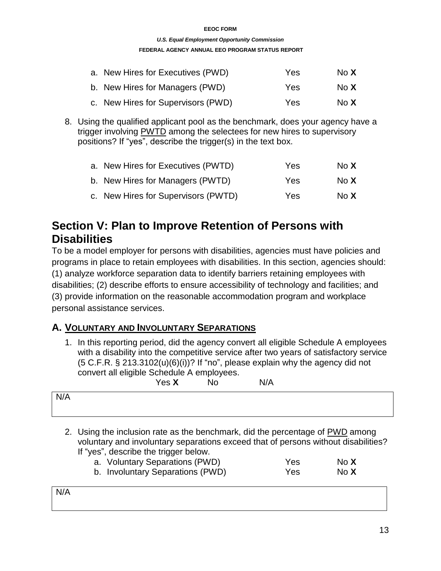## *U.S. Equal Employment Opportunity Commission*

## **FEDERAL AGENCY ANNUAL EEO PROGRAM STATUS REPORT**

| a. New Hires for Executives (PWD)  | Yes | No $\boldsymbol{\mathsf{X}}$ |
|------------------------------------|-----|------------------------------|
| b. New Hires for Managers (PWD)    | Yes | No $\boldsymbol{\mathsf{X}}$ |
| c. New Hires for Supervisors (PWD) | Yes | No $\boldsymbol{\mathsf{X}}$ |

8. Using the qualified applicant pool as the benchmark, does your agency have a trigger involving PWTD among the selectees for new hires to supervisory positions? If "yes", describe the trigger(s) in the text box.

| a. New Hires for Executives (PWTD)  | Yes        | No $\boldsymbol{\mathsf{X}}$ |
|-------------------------------------|------------|------------------------------|
| b. New Hires for Managers (PWTD)    | Yes        | No <b>X</b>                  |
| c. New Hires for Supervisors (PWTD) | <b>Yes</b> | No <b>X</b>                  |

## **Section V: Plan to Improve Retention of Persons with Disabilities**

To be a model employer for persons with disabilities, agencies must have policies and programs in place to retain employees with disabilities. In this section, agencies should: (1) analyze workforce separation data to identify barriers retaining employees with disabilities; (2) describe efforts to ensure accessibility of technology and facilities; and (3) provide information on the reasonable accommodation program and workplace personal assistance services.

## **A. VOLUNTARY AND INVOLUNTARY SEPARATIONS**

1. In this reporting period, did the agency convert all eligible Schedule A employees with a disability into the competitive service after two years of satisfactory service  $(5 C.F.R. § 213.3102(u)(6)(i))$ ? If "no", please explain why the agency did not convert all eligible Schedule A employees.

|     | Yes X | No | N/A |  |
|-----|-------|----|-----|--|
| N/A |       |    |     |  |
|     |       |    |     |  |

2. Using the inclusion rate as the benchmark, did the percentage of PWD among voluntary and involuntary separations exceed that of persons without disabilities? If "yes", describe the trigger below.

| a. Voluntary Separations (PWD)   | Yes | No <b>X</b> |
|----------------------------------|-----|-------------|
| b. Involuntary Separations (PWD) | Yes | No <b>X</b> |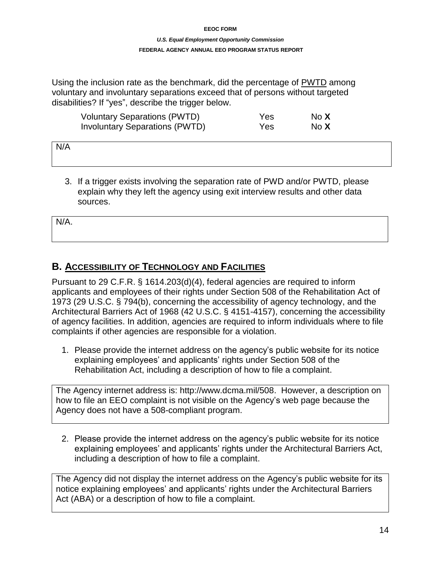## *U.S. Equal Employment Opportunity Commission*  **FEDERAL AGENCY ANNUAL EEO PROGRAM STATUS REPORT**

Using the inclusion rate as the benchmark, did the percentage of PWTD among voluntary and involuntary separations exceed that of persons without targeted disabilities? If "yes", describe the trigger below.

| <b>Voluntary Separations (PWTD)</b>   | Yes        | No <b>X</b> |
|---------------------------------------|------------|-------------|
| <b>Involuntary Separations (PWTD)</b> | <b>Yes</b> | No <b>X</b> |

| N/A |  |  |
|-----|--|--|
|     |  |  |

3. If a trigger exists involving the separation rate of PWD and/or PWTD, please explain why they left the agency using exit interview results and other data sources.

N/A.

## **B. ACCESSIBILITY OF TECHNOLOGY AND FACILITIES**

Pursuant to 29 C.F.R. § 1614.203(d)(4), federal agencies are required to inform applicants and employees of their rights under Section 508 of the Rehabilitation Act of 1973 (29 U.S.C. § 794(b), concerning the accessibility of agency technology, and the Architectural Barriers Act of 1968 (42 U.S.C. § 4151-4157), concerning the accessibility of agency facilities. In addition, agencies are required to inform individuals where to file complaints if other agencies are responsible for a violation.

1. Please provide the internet address on the agency's public website for its notice explaining employees' and applicants' rights under Section 508 of the Rehabilitation Act, including a description of how to file a complaint.

The Agency internet address is: [http://www.dcma.mil/508.](http://www.dcma.mil/508) However, a description on how to file an EEO complaint is not visible on the Agency's web page because the Agency does not have a 508-compliant program.

2. Please provide the internet address on the agency's public website for its notice explaining employees' and applicants' rights under the Architectural Barriers Act, including a description of how to file a complaint.

The Agency did not display the internet address on the Agency's public website for its notice explaining employees' and applicants' rights under the Architectural Barriers Act (ABA) or a description of how to file a complaint.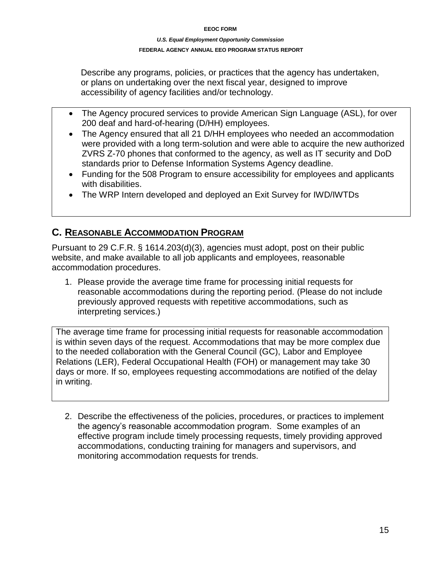## *U.S. Equal Employment Opportunity Commission*  **FEDERAL AGENCY ANNUAL EEO PROGRAM STATUS REPORT**

Describe any programs, policies, or practices that the agency has undertaken, or plans on undertaking over the next fiscal year, designed to improve accessibility of agency facilities and/or technology.

- The Agency procured services to provide American Sign Language (ASL), for over 200 deaf and hard-of-hearing (D/HH) employees.
- The Agency ensured that all 21 D/HH employees who needed an accommodation were provided with a long term-solution and were able to acquire the new authorized ZVRS Z-70 phones that conformed to the agency, as well as IT security and DoD standards prior to Defense Information Systems Agency deadline.
- Funding for the 508 Program to ensure accessibility for employees and applicants with disabilities.
- The WRP Intern developed and deployed an Exit Survey for IWD/IWTDs

## **C. REASONABLE ACCOMMODATION PROGRAM**

Pursuant to 29 C.F.R. § 1614.203(d)(3), agencies must adopt, post on their public website, and make available to all job applicants and employees, reasonable accommodation procedures.

1. Please provide the average time frame for processing initial requests for reasonable accommodations during the reporting period. (Please do not include previously approved requests with repetitive accommodations, such as interpreting services.)

The average time frame for processing initial requests for reasonable accommodation is within seven days of the request. Accommodations that may be more complex due to the needed collaboration with the General Council (GC), Labor and Employee Relations (LER), Federal Occupational Health (FOH) or management may take 30 days or more. If so, employees requesting accommodations are notified of the delay in writing.

2. Describe the effectiveness of the policies, procedures, or practices to implement the agency's reasonable accommodation program. Some examples of an effective program include timely processing requests, timely providing approved accommodations, conducting training for managers and supervisors, and monitoring accommodation requests for trends.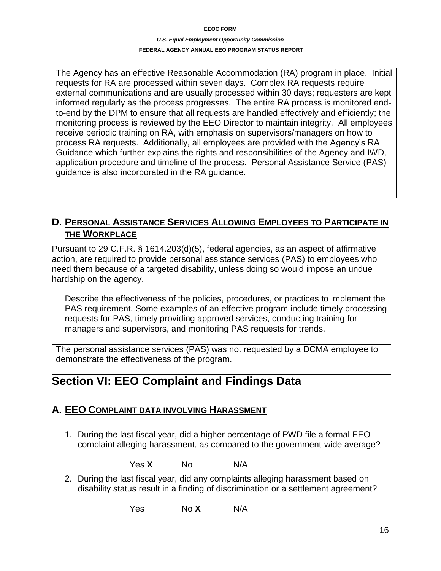## *U.S. Equal Employment Opportunity Commission*  **FEDERAL AGENCY ANNUAL EEO PROGRAM STATUS REPORT**

The Agency has an effective Reasonable Accommodation (RA) program in place. Initial requests for RA are processed within seven days. Complex RA requests require external communications and are usually processed within 30 days; requesters are kept informed regularly as the process progresses. The entire RA process is monitored endto-end by the DPM to ensure that all requests are handled effectively and efficiently; the monitoring process is reviewed by the EEO Director to maintain integrity. All employees receive periodic training on RA, with emphasis on supervisors/managers on how to process RA requests. Additionally, all employees are provided with the Agency's RA Guidance which further explains the rights and responsibilities of the Agency and IWD, application procedure and timeline of the process. Personal Assistance Service (PAS) guidance is also incorporated in the RA guidance.

## **D. PERSONAL ASSISTANCE SERVICES ALLOWING EMPLOYEES TO PARTICIPATE IN THE WORKPLACE**

Pursuant to 29 C.F.R. § 1614.203(d)(5), federal agencies, as an aspect of affirmative action, are required to provide personal assistance services (PAS) to employees who need them because of a targeted disability, unless doing so would impose an undue hardship on the agency.

Describe the effectiveness of the policies, procedures, or practices to implement the PAS requirement. Some examples of an effective program include timely processing requests for PAS, timely providing approved services, conducting training for managers and supervisors, and monitoring PAS requests for trends.

The personal assistance services (PAS) was not requested by a DCMA employee to demonstrate the effectiveness of the program.

## **Section VI: EEO Complaint and Findings Data**

## **A. EEO COMPLAINT DATA INVOLVING HARASSMENT**

1. During the last fiscal year, did a higher percentage of PWD file a formal EEO complaint alleging harassment, as compared to the government-wide average?

Yes **X** No N/A

2. During the last fiscal year, did any complaints alleging harassment based on disability status result in a finding of discrimination or a settlement agreement?

Yes No **X** N/A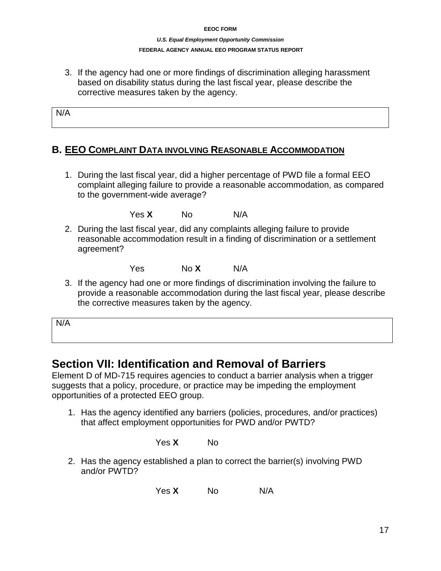## *U.S. Equal Employment Opportunity Commission*  **FEDERAL AGENCY ANNUAL EEO PROGRAM STATUS REPORT**

3. If the agency had one or more findings of discrimination alleging harassment based on disability status during the last fiscal year, please describe the corrective measures taken by the agency.

N/A

## **B. EEO COMPLAINT DATA INVOLVING REASONABLE ACCOMMODATION**

1. During the last fiscal year, did a higher percentage of PWD file a formal EEO complaint alleging failure to provide a reasonable accommodation, as compared to the government-wide average?

Yes **X** No N/A

2. During the last fiscal year, did any complaints alleging failure to provide reasonable accommodation result in a finding of discrimination or a settlement agreement?

Yes No **X** N/A

3. If the agency had one or more findings of discrimination involving the failure to provide a reasonable accommodation during the last fiscal year, please describe the corrective measures taken by the agency.

N/A

## **Section VII: Identification and Removal of Barriers**

Element D of MD-715 requires agencies to conduct a barrier analysis when a trigger suggests that a policy, procedure, or practice may be impeding the employment opportunities of a protected EEO group.

1. Has the agency identified any barriers (policies, procedures, and/or practices) that affect employment opportunities for PWD and/or PWTD?

Yes **X** No

2. Has the agency established a plan to correct the barrier(s) involving PWD and/or PWTD?

Yes **X** No N/A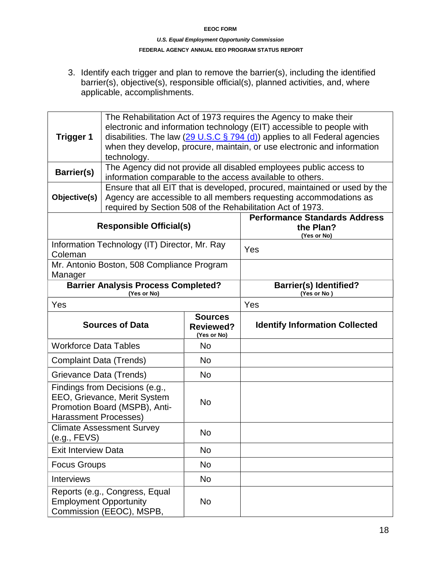## *U.S. Equal Employment Opportunity Commission*  **FEDERAL AGENCY ANNUAL EEO PROGRAM STATUS REPORT**

3. Identify each trigger and plan to remove the barrier(s), including the identified barrier(s), objective(s), responsible official(s), planned activities, and, where applicable, accomplishments.

| Trigger 1                                                 | The Rehabilitation Act of 1973 requires the Agency to make their<br>electronic and information technology (EIT) accessible to people with<br>disabilities. The law $(29 \text{ U.S.C} \S 794 \text{ (d)})$ applies to all Federal agencies<br>when they develop, procure, maintain, or use electronic and information<br>technology. |                                                   |                                                                                                                                                                                                               |  |  |
|-----------------------------------------------------------|--------------------------------------------------------------------------------------------------------------------------------------------------------------------------------------------------------------------------------------------------------------------------------------------------------------------------------------|---------------------------------------------------|---------------------------------------------------------------------------------------------------------------------------------------------------------------------------------------------------------------|--|--|
| <b>Barrier(s)</b>                                         |                                                                                                                                                                                                                                                                                                                                      |                                                   | The Agency did not provide all disabled employees public access to<br>information comparable to the access available to others.                                                                               |  |  |
| Objective(s)                                              |                                                                                                                                                                                                                                                                                                                                      |                                                   | Ensure that all EIT that is developed, procured, maintained or used by the<br>Agency are accessible to all members requesting accommodations as<br>required by Section 508 of the Rehabilitation Act of 1973. |  |  |
|                                                           | <b>Responsible Official(s)</b>                                                                                                                                                                                                                                                                                                       |                                                   | <b>Performance Standards Address</b><br>the Plan?<br>(Yes or No)                                                                                                                                              |  |  |
| Coleman                                                   | Information Technology (IT) Director, Mr. Ray                                                                                                                                                                                                                                                                                        |                                                   | Yes                                                                                                                                                                                                           |  |  |
| Manager                                                   | Mr. Antonio Boston, 508 Compliance Program                                                                                                                                                                                                                                                                                           |                                                   |                                                                                                                                                                                                               |  |  |
|                                                           | <b>Barrier Analysis Process Completed?</b><br>(Yes or No)                                                                                                                                                                                                                                                                            |                                                   | <b>Barrier(s) Identified?</b><br>(Yes or No)                                                                                                                                                                  |  |  |
| Yes                                                       |                                                                                                                                                                                                                                                                                                                                      |                                                   | Yes                                                                                                                                                                                                           |  |  |
|                                                           | <b>Sources of Data</b>                                                                                                                                                                                                                                                                                                               | <b>Sources</b><br><b>Reviewed?</b><br>(Yes or No) | <b>Identify Information Collected</b>                                                                                                                                                                         |  |  |
| <b>Workforce Data Tables</b>                              |                                                                                                                                                                                                                                                                                                                                      | No                                                |                                                                                                                                                                                                               |  |  |
| <b>Complaint Data (Trends)</b>                            |                                                                                                                                                                                                                                                                                                                                      | No                                                |                                                                                                                                                                                                               |  |  |
| Grievance Data (Trends)                                   |                                                                                                                                                                                                                                                                                                                                      | No                                                |                                                                                                                                                                                                               |  |  |
| <b>Harassment Processes)</b>                              | Findings from Decisions (e.g.,<br>EEO, Grievance, Merit System<br>Promotion Board (MSPB), Anti-                                                                                                                                                                                                                                      | <b>No</b>                                         |                                                                                                                                                                                                               |  |  |
| <u>(e.g., FEVS)</u>                                       | <b>Climate Assessment Survey</b>                                                                                                                                                                                                                                                                                                     | No                                                |                                                                                                                                                                                                               |  |  |
| <b>Exit Interview Data</b>                                |                                                                                                                                                                                                                                                                                                                                      | No                                                |                                                                                                                                                                                                               |  |  |
| <b>Focus Groups</b>                                       |                                                                                                                                                                                                                                                                                                                                      | <b>No</b>                                         |                                                                                                                                                                                                               |  |  |
| <b>Interviews</b>                                         |                                                                                                                                                                                                                                                                                                                                      | <b>No</b>                                         |                                                                                                                                                                                                               |  |  |
| <b>Employment Opportunity</b><br>Commission (EEOC), MSPB, | Reports (e.g., Congress, Equal                                                                                                                                                                                                                                                                                                       | No                                                |                                                                                                                                                                                                               |  |  |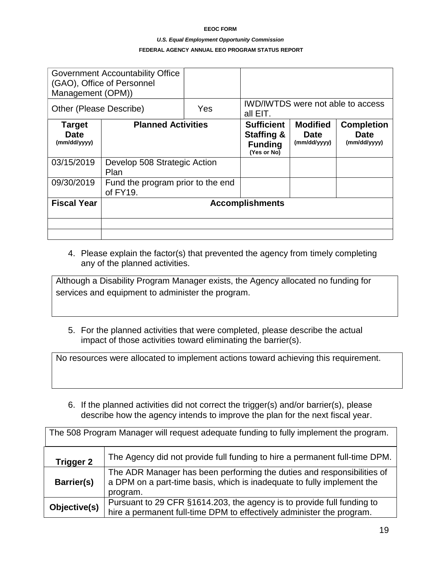### *U.S. Equal Employment Opportunity Commission*

## **FEDERAL AGENCY ANNUAL EEO PROGRAM STATUS REPORT**

| Management (OPM))                     | <b>Government Accountability Office</b><br>(GAO), Office of Personnel |     |                                                                             |                                                |                                                  |
|---------------------------------------|-----------------------------------------------------------------------|-----|-----------------------------------------------------------------------------|------------------------------------------------|--------------------------------------------------|
| Other (Please Describe)               |                                                                       | Yes | <b>IWD/IWTDS</b> were not able to access<br>all EIT.                        |                                                |                                                  |
| <b>Target</b><br>Date<br>(mm/dd/yyyy) | <b>Planned Activities</b>                                             |     | <b>Sufficient</b><br><b>Staffing &amp;</b><br><b>Funding</b><br>(Yes or No) | <b>Modified</b><br><b>Date</b><br>(mm/dd/yyyy) | <b>Completion</b><br><b>Date</b><br>(mm/dd/yyyy) |
| 03/15/2019                            | Develop 508 Strategic Action<br>Plan                                  |     |                                                                             |                                                |                                                  |
| 09/30/2019                            | Fund the program prior to the end<br>of FY19.                         |     |                                                                             |                                                |                                                  |
| <b>Fiscal Year</b>                    |                                                                       |     | <b>Accomplishments</b>                                                      |                                                |                                                  |
|                                       |                                                                       |     |                                                                             |                                                |                                                  |

4. Please explain the factor(s) that prevented the agency from timely completing any of the planned activities.

Although a Disability Program Manager exists, the Agency allocated no funding for services and equipment to administer the program.

5. For the planned activities that were completed, please describe the actual impact of those activities toward eliminating the barrier(s).

No resources were allocated to implement actions toward achieving this requirement.

6. If the planned activities did not correct the trigger(s) and/or barrier(s), please describe how the agency intends to improve the plan for the next fiscal year.

The 508 Program Manager will request adequate funding to fully implement the program. **Trigger 2** The Agency did not provide full funding to hire a permanent full-time DPM. **Barrier(s)** The ADR Manager has been performing the duties and responsibilities of a DPM on a part-time basis, which is inadequate to fully implement the program. **Objective(s)** Pursuant to 29 CFR §1614.203, the agency is to provide full funding to **Objective(s)** hire a permanent full-time DPM to effectively administer the program.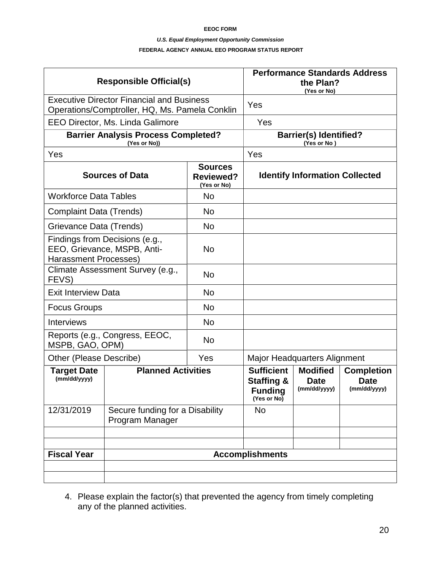#### *U.S. Equal Employment Opportunity Commission*

#### **FEDERAL AGENCY ANNUAL EEO PROGRAM STATUS REPORT**

| <b>Responsible Official(s)</b>                                                                     |                                                               | <b>Performance Standards Address</b><br>the Plan?<br>(Yes or No) |                                                                             |                                                |                                                  |
|----------------------------------------------------------------------------------------------------|---------------------------------------------------------------|------------------------------------------------------------------|-----------------------------------------------------------------------------|------------------------------------------------|--------------------------------------------------|
| <b>Executive Director Financial and Business</b><br>Operations/Comptroller, HQ, Ms. Pamela Conklin |                                                               | Yes                                                              |                                                                             |                                                |                                                  |
|                                                                                                    | <b>EEO Director, Ms. Linda Galimore</b>                       |                                                                  | Yes                                                                         |                                                |                                                  |
|                                                                                                    | <b>Barrier Analysis Process Completed?</b><br>(Yes or No))    |                                                                  |                                                                             | <b>Barrier(s) Identified?</b><br>(Yes or No)   |                                                  |
| Yes                                                                                                |                                                               |                                                                  | Yes                                                                         |                                                |                                                  |
|                                                                                                    | <b>Sources of Data</b>                                        | <b>Sources</b><br><b>Reviewed?</b><br>(Yes or No)                |                                                                             | <b>Identify Information Collected</b>          |                                                  |
| <b>Workforce Data Tables</b>                                                                       |                                                               | No.                                                              |                                                                             |                                                |                                                  |
| <b>Complaint Data (Trends)</b>                                                                     |                                                               | <b>No</b>                                                        |                                                                             |                                                |                                                  |
| Grievance Data (Trends)                                                                            |                                                               | <b>No</b>                                                        |                                                                             |                                                |                                                  |
| <b>Harassment Processes)</b>                                                                       | Findings from Decisions (e.g.,<br>EEO, Grievance, MSPB, Anti- | <b>No</b>                                                        |                                                                             |                                                |                                                  |
| FEVS)                                                                                              | Climate Assessment Survey (e.g.,                              | <b>No</b>                                                        |                                                                             |                                                |                                                  |
| <b>Exit Interview Data</b>                                                                         |                                                               | <b>No</b>                                                        |                                                                             |                                                |                                                  |
| <b>Focus Groups</b>                                                                                |                                                               | No.                                                              |                                                                             |                                                |                                                  |
| <b>Interviews</b>                                                                                  |                                                               | <b>No</b>                                                        |                                                                             |                                                |                                                  |
| MSPB, GAO, OPM)                                                                                    | Reports (e.g., Congress, EEOC,                                | No                                                               |                                                                             |                                                |                                                  |
| Other (Please Describe)                                                                            |                                                               | Yes                                                              |                                                                             | <b>Major Headquarters Alignment</b>            |                                                  |
| <b>Target Date</b><br>(mm/dd/yyyy)                                                                 | <b>Planned Activities</b>                                     |                                                                  | <b>Sufficient</b><br><b>Staffing &amp;</b><br><b>Funding</b><br>(Yes or No) | <b>Modified</b><br><b>Date</b><br>(mm/dd/yyyy) | <b>Completion</b><br><b>Date</b><br>(mm/dd/yyyy) |
| 12/31/2019                                                                                         | Secure funding for a Disability<br>Program Manager            |                                                                  | <b>No</b>                                                                   |                                                |                                                  |
|                                                                                                    |                                                               |                                                                  |                                                                             |                                                |                                                  |
| <b>Fiscal Year</b>                                                                                 |                                                               |                                                                  | <b>Accomplishments</b>                                                      |                                                |                                                  |
|                                                                                                    |                                                               |                                                                  |                                                                             |                                                |                                                  |

4. Please explain the factor(s) that prevented the agency from timely completing any of the planned activities.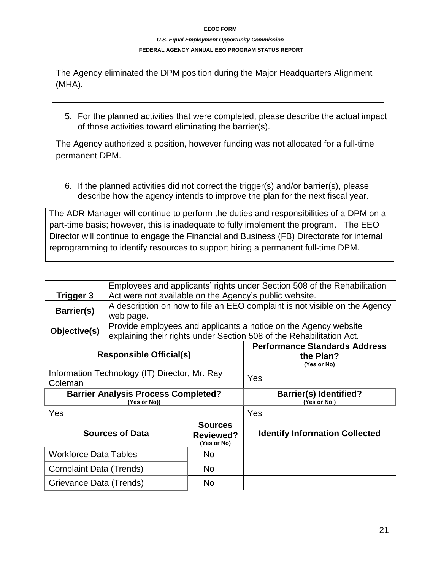## *U.S. Equal Employment Opportunity Commission*  **FEDERAL AGENCY ANNUAL EEO PROGRAM STATUS REPORT**

The Agency eliminated the DPM position during the Major Headquarters Alignment (MHA).

5. For the planned activities that were completed, please describe the actual impact of those activities toward eliminating the barrier(s).

The Agency authorized a position, however funding was not allocated for a full-time permanent DPM.

6. If the planned activities did not correct the trigger(s) and/or barrier(s), please describe how the agency intends to improve the plan for the next fiscal year.

The ADR Manager will continue to perform the duties and responsibilities of a DPM on a part-time basis; however, this is inadequate to fully implement the program. The EEO Director will continue to engage the Financial and Business (FB) Directorate for internal reprogramming to identify resources to support hiring a permanent full-time DPM.

| Trigger 3                                                  | Employees and applicants' rights under Section 508 of the Rehabilitation<br>Act were not available on the Agency's public website. |                                                   |                                                                                                                                         |  |
|------------------------------------------------------------|------------------------------------------------------------------------------------------------------------------------------------|---------------------------------------------------|-----------------------------------------------------------------------------------------------------------------------------------------|--|
| Barrier(s)                                                 | web page.                                                                                                                          |                                                   | A description on how to file an EEO complaint is not visible on the Agency                                                              |  |
| Objective(s)                                               |                                                                                                                                    |                                                   | Provide employees and applicants a notice on the Agency website<br>explaining their rights under Section 508 of the Rehabilitation Act. |  |
| <b>Responsible Official(s)</b>                             |                                                                                                                                    |                                                   | <b>Performance Standards Address</b><br>the Plan?<br>(Yes or No)                                                                        |  |
| Information Technology (IT) Director, Mr. Ray<br>Coleman   |                                                                                                                                    | Yes                                               |                                                                                                                                         |  |
| <b>Barrier Analysis Process Completed?</b><br>(Yes or No)) |                                                                                                                                    |                                                   | <b>Barrier(s) Identified?</b><br>(Yes or No)                                                                                            |  |
| Yes                                                        |                                                                                                                                    |                                                   | Yes                                                                                                                                     |  |
|                                                            | <b>Sources of Data</b>                                                                                                             | <b>Sources</b><br><b>Reviewed?</b><br>(Yes or No) | <b>Identify Information Collected</b>                                                                                                   |  |
| <b>Workforce Data Tables</b>                               |                                                                                                                                    | No                                                |                                                                                                                                         |  |
| Complaint Data (Trends)                                    |                                                                                                                                    | No                                                |                                                                                                                                         |  |
| Grievance Data (Trends)                                    |                                                                                                                                    | <b>No</b>                                         |                                                                                                                                         |  |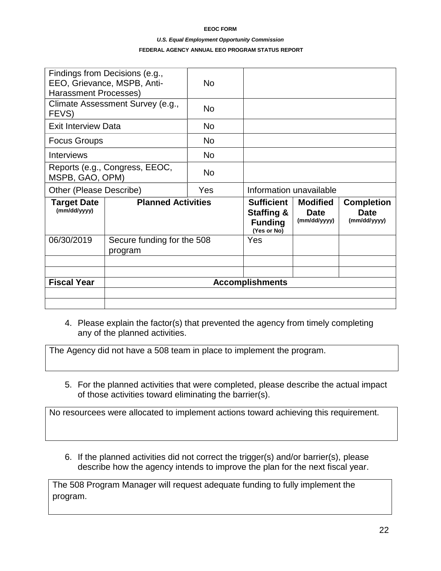#### *U.S. Equal Employment Opportunity Commission*

### **FEDERAL AGENCY ANNUAL EEO PROGRAM STATUS REPORT**

| Harassment Processes)              | Findings from Decisions (e.g.,<br>EEO, Grievance, MSPB, Anti- | <b>No</b> |                                                                             |                                         |                                                  |
|------------------------------------|---------------------------------------------------------------|-----------|-----------------------------------------------------------------------------|-----------------------------------------|--------------------------------------------------|
| FEVS)                              | Climate Assessment Survey (e.g.,                              | <b>No</b> |                                                                             |                                         |                                                  |
| <b>Exit Interview Data</b>         |                                                               | <b>No</b> |                                                                             |                                         |                                                  |
| <b>Focus Groups</b>                |                                                               | <b>No</b> |                                                                             |                                         |                                                  |
| <b>Interviews</b>                  |                                                               | <b>No</b> |                                                                             |                                         |                                                  |
| MSPB, GAO, OPM)                    | Reports (e.g., Congress, EEOC,                                | <b>No</b> |                                                                             |                                         |                                                  |
| Other (Please Describe)            |                                                               | Yes       | Information unavailable                                                     |                                         |                                                  |
| <b>Target Date</b><br>(mm/dd/yyyy) | <b>Planned Activities</b>                                     |           | <b>Sufficient</b><br><b>Staffing &amp;</b><br><b>Funding</b><br>(Yes or No) | <b>Modified</b><br>Date<br>(mm/dd/yyyy) | <b>Completion</b><br><b>Date</b><br>(mm/dd/yyyy) |
| 06/30/2019                         | Secure funding for the 508<br>program                         |           | Yes                                                                         |                                         |                                                  |
|                                    |                                                               |           |                                                                             |                                         |                                                  |
| <b>Fiscal Year</b>                 |                                                               |           | <b>Accomplishments</b>                                                      |                                         |                                                  |
|                                    |                                                               |           |                                                                             |                                         |                                                  |

4. Please explain the factor(s) that prevented the agency from timely completing any of the planned activities.

The Agency did not have a 508 team in place to implement the program.

5. For the planned activities that were completed, please describe the actual impact of those activities toward eliminating the barrier(s).

No resourcees were allocated to implement actions toward achieving this requirement.

6. If the planned activities did not correct the trigger(s) and/or barrier(s), please describe how the agency intends to improve the plan for the next fiscal year.

The 508 Program Manager will request adequate funding to fully implement the program.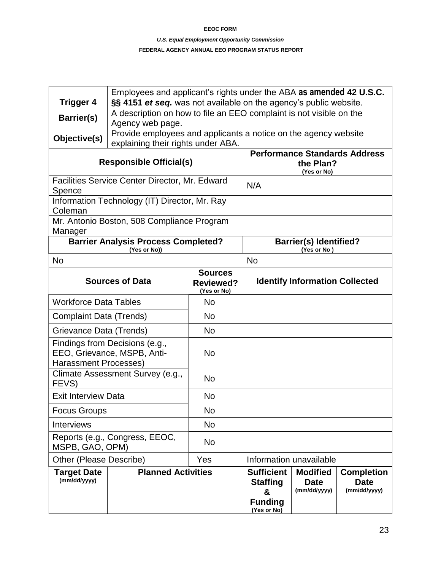## *U.S. Equal Employment Opportunity Commission*

## **FEDERAL AGENCY ANNUAL EEO PROGRAM STATUS REPORT**

| <b>Trigger 4</b>                   | Employees and applicant's rights under the ABA as amended 42 U.S.C.<br>§§ 4151 et seq. was not available on the agency's public website. |                                                   |                                                                            |                                                |                                                  |
|------------------------------------|------------------------------------------------------------------------------------------------------------------------------------------|---------------------------------------------------|----------------------------------------------------------------------------|------------------------------------------------|--------------------------------------------------|
| <b>Barrier(s)</b>                  | A description on how to file an EEO complaint is not visible on the<br>Agency web page.                                                  |                                                   |                                                                            |                                                |                                                  |
| Objective(s)                       | Provide employees and applicants a notice on the agency website<br>explaining their rights under ABA.                                    |                                                   |                                                                            |                                                |                                                  |
|                                    | <b>Responsible Official(s)</b>                                                                                                           |                                                   | <b>Performance Standards Address</b><br>the Plan?<br>(Yes or No)           |                                                |                                                  |
| Spence                             | Facilities Service Center Director, Mr. Edward                                                                                           |                                                   | N/A                                                                        |                                                |                                                  |
| Coleman                            | Information Technology (IT) Director, Mr. Ray                                                                                            |                                                   |                                                                            |                                                |                                                  |
| Manager                            | Mr. Antonio Boston, 508 Compliance Program                                                                                               |                                                   |                                                                            |                                                |                                                  |
|                                    | <b>Barrier Analysis Process Completed?</b><br>(Yes or No))                                                                               |                                                   |                                                                            | <b>Barrier(s) Identified?</b><br>(Yes or No)   |                                                  |
| <b>No</b>                          |                                                                                                                                          |                                                   | <b>No</b>                                                                  |                                                |                                                  |
| <b>Sources of Data</b>             |                                                                                                                                          | <b>Sources</b><br><b>Reviewed?</b><br>(Yes or No) |                                                                            | <b>Identify Information Collected</b>          |                                                  |
| <b>Workforce Data Tables</b>       |                                                                                                                                          | No                                                |                                                                            |                                                |                                                  |
| Complaint Data (Trends)            |                                                                                                                                          | No                                                |                                                                            |                                                |                                                  |
| Grievance Data (Trends)            |                                                                                                                                          | No                                                |                                                                            |                                                |                                                  |
| <b>Harassment Processes)</b>       | Findings from Decisions (e.g.,<br>EEO, Grievance, MSPB, Anti-                                                                            | <b>No</b>                                         |                                                                            |                                                |                                                  |
| FEVS)                              | Climate Assessment Survey (e.g.,                                                                                                         | No                                                |                                                                            |                                                |                                                  |
| <b>Exit Interview Data</b>         |                                                                                                                                          | No                                                |                                                                            |                                                |                                                  |
| <b>Focus Groups</b>                |                                                                                                                                          | No                                                |                                                                            |                                                |                                                  |
| Interviews                         |                                                                                                                                          | No                                                |                                                                            |                                                |                                                  |
| MSPB, GAO, OPM)                    | Reports (e.g., Congress, EEOC,                                                                                                           | No                                                |                                                                            |                                                |                                                  |
| Other (Please Describe)            |                                                                                                                                          | Yes                                               |                                                                            | Information unavailable                        |                                                  |
| <b>Target Date</b><br>(mm/dd/yyyy) | <b>Planned Activities</b>                                                                                                                |                                                   | <b>Sufficient</b><br><b>Staffing</b><br>&<br><b>Funding</b><br>(Yes or No) | <b>Modified</b><br><b>Date</b><br>(mm/dd/yyyy) | <b>Completion</b><br><b>Date</b><br>(mm/dd/yyyy) |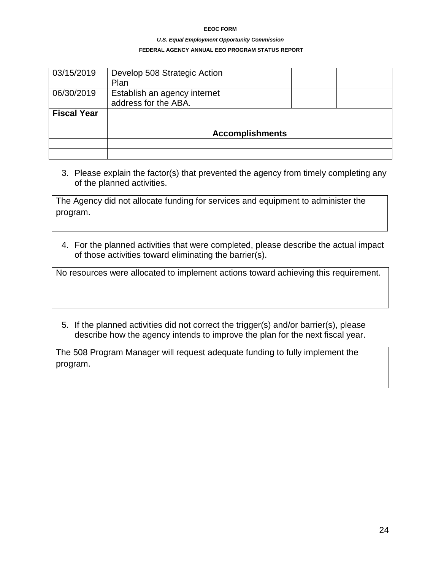### *U.S. Equal Employment Opportunity Commission*

## **FEDERAL AGENCY ANNUAL EEO PROGRAM STATUS REPORT**

| 03/15/2019         | Develop 508 Strategic Action<br>Plan                 |                        |  |
|--------------------|------------------------------------------------------|------------------------|--|
| 06/30/2019         | Establish an agency internet<br>address for the ABA. |                        |  |
| <b>Fiscal Year</b> |                                                      | <b>Accomplishments</b> |  |
|                    |                                                      |                        |  |
|                    |                                                      |                        |  |

3. Please explain the factor(s) that prevented the agency from timely completing any of the planned activities.

The Agency did not allocate funding for services and equipment to administer the program.

4. For the planned activities that were completed, please describe the actual impact of those activities toward eliminating the barrier(s).

No resources were allocated to implement actions toward achieving this requirement.

5. If the planned activities did not correct the trigger(s) and/or barrier(s), please describe how the agency intends to improve the plan for the next fiscal year.

The 508 Program Manager will request adequate funding to fully implement the program.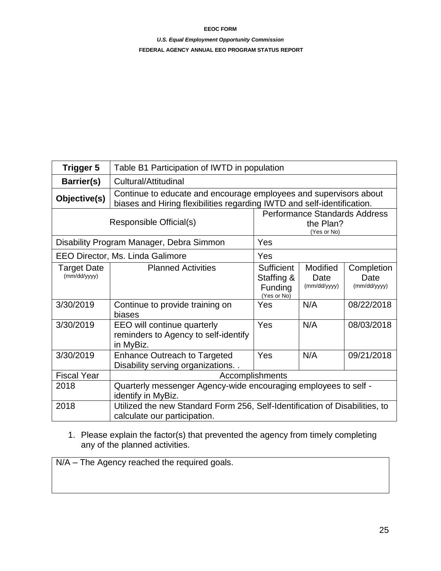#### *U.S. Equal Employment Opportunity Commission*

#### **FEDERAL AGENCY ANNUAL EEO PROGRAM STATUS REPORT**

| <b>Trigger 5</b>                         | Table B1 Participation of IWTD in population                                                                |                                                                                                                                              |                                         |                                    |
|------------------------------------------|-------------------------------------------------------------------------------------------------------------|----------------------------------------------------------------------------------------------------------------------------------------------|-----------------------------------------|------------------------------------|
| <b>Barrier(s)</b>                        | Cultural/Attitudinal                                                                                        |                                                                                                                                              |                                         |                                    |
| Objective(s)                             |                                                                                                             | Continue to educate and encourage employees and supervisors about<br>biases and Hiring flexibilities regarding IWTD and self-identification. |                                         |                                    |
| Responsible Official(s)                  |                                                                                                             | <b>Performance Standards Address</b><br>the Plan?<br>(Yes or No)                                                                             |                                         |                                    |
| Disability Program Manager, Debra Simmon |                                                                                                             | Yes                                                                                                                                          |                                         |                                    |
| EEO Director, Ms. Linda Galimore         |                                                                                                             | Yes                                                                                                                                          |                                         |                                    |
| <b>Target Date</b><br>(mm/dd/yyyy)       | <b>Planned Activities</b>                                                                                   | <b>Sufficient</b><br>Staffing &<br>Funding<br>(Yes or No)                                                                                    | <b>Modified</b><br>Date<br>(mm/dd/yyyy) | Completion<br>Date<br>(mm/dd/yyyy) |
| 3/30/2019                                | Continue to provide training on<br>biases                                                                   | Yes                                                                                                                                          | N/A                                     | 08/22/2018                         |
| 3/30/2019                                | EEO will continue quarterly<br>reminders to Agency to self-identify<br>in MyBiz.                            | Yes                                                                                                                                          | N/A                                     | 08/03/2018                         |
| 3/30/2019                                | <b>Enhance Outreach to Targeted</b><br>Disability serving organizations                                     | Yes                                                                                                                                          | N/A                                     | 09/21/2018                         |
| <b>Fiscal Year</b>                       | Accomplishments                                                                                             |                                                                                                                                              |                                         |                                    |
| 2018                                     | Quarterly messenger Agency-wide encouraging employees to self -<br>identify in MyBiz.                       |                                                                                                                                              |                                         |                                    |
| 2018                                     | Utilized the new Standard Form 256, Self-Identification of Disabilities, to<br>calculate our participation. |                                                                                                                                              |                                         |                                    |

1. Please explain the factor(s) that prevented the agency from timely completing any of the planned activities.

N/A – The Agency reached the required goals.